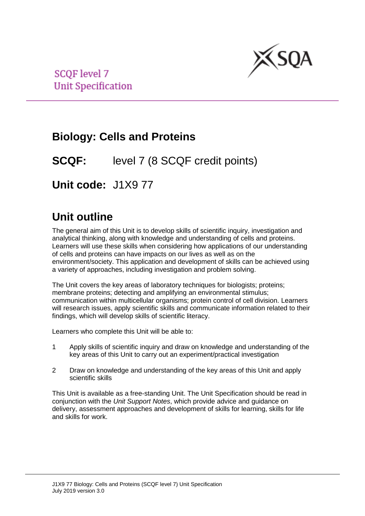

**SCOF level 7 Unit Specification** 

# **Biology: Cells and Proteins**

**SCQF:** level 7 (8 SCQF credit points)

**Unit code:** J1X9 77

# **Unit outline**

The general aim of this Unit is to develop skills of scientific inquiry, investigation and analytical thinking, along with knowledge and understanding of cells and proteins. Learners will use these skills when considering how applications of our understanding of cells and proteins can have impacts on our lives as well as on the environment/society. This application and development of skills can be achieved using a variety of approaches, including investigation and problem solving.

The Unit covers the key areas of laboratory techniques for biologists; proteins; membrane proteins; detecting and amplifying an environmental stimulus; communication within multicellular organisms; protein control of cell division. Learners will research issues, apply scientific skills and communicate information related to their findings, which will develop skills of scientific literacy.

Learners who complete this Unit will be able to:

- 1 Apply skills of scientific inquiry and draw on knowledge and understanding of the key areas of this Unit to carry out an experiment/practical investigation
- 2 Draw on knowledge and understanding of the key areas of this Unit and apply scientific skills

This Unit is available as a free-standing Unit. The Unit Specification should be read in conjunction with the *Unit Support Notes*, which provide advice and guidance on delivery, assessment approaches and development of skills for learning, skills for life and skills for work.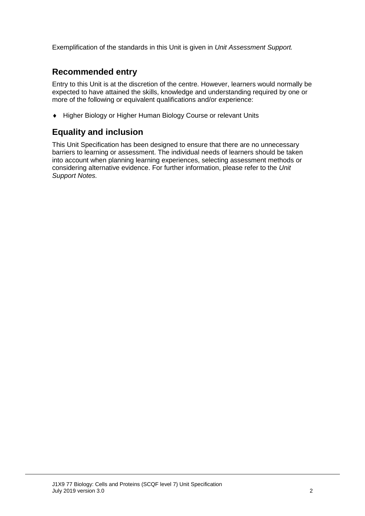Exemplification of the standards in this Unit is given in *Unit Assessment Support.*

## **Recommended entry**

Entry to this Unit is at the discretion of the centre. However, learners would normally be expected to have attained the skills, knowledge and understanding required by one or more of the following or equivalent qualifications and/or experience:

♦ Higher Biology or Higher Human Biology Course or relevant Units

## **Equality and inclusion**

This Unit Specification has been designed to ensure that there are no unnecessary barriers to learning or assessment. The individual needs of learners should be taken into account when planning learning experiences, selecting assessment methods or considering alternative evidence. For further information, please refer to the *Unit Support Notes.*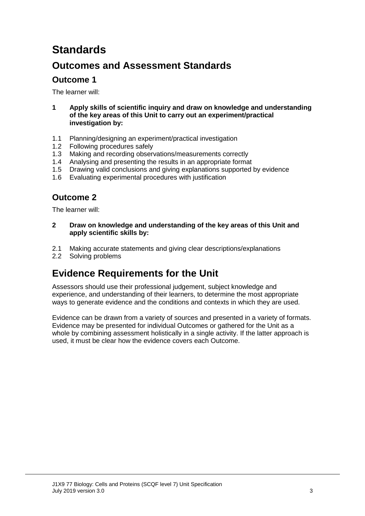# **Standards**

## **Outcomes and Assessment Standards**

## **Outcome 1**

The learner will:

- **1 Apply skills of scientific inquiry and draw on knowledge and understanding of the key areas of this Unit to carry out an experiment/practical investigation by:**
- 1.1 Planning/designing an experiment/practical investigation
- 1.2 Following procedures safely<br>1.3 Making and recording obser
- Making and recording observations/measurements correctly
- 1.4 Analysing and presenting the results in an appropriate format
- 1.5 Drawing valid conclusions and giving explanations supported by evidence
- 1.6 Evaluating experimental procedures with justification

## **Outcome 2**

The learner will:

- **2 Draw on knowledge and understanding of the key areas of this Unit and apply scientific skills by:**
- 2.1 Making accurate statements and giving clear descriptions/explanations
- 2.2 Solving problems

## **Evidence Requirements for the Unit**

Assessors should use their professional judgement, subject knowledge and experience, and understanding of their learners, to determine the most appropriate ways to generate evidence and the conditions and contexts in which they are used.

Evidence can be drawn from a variety of sources and presented in a variety of formats. Evidence may be presented for individual Outcomes or gathered for the Unit as a whole by combining assessment holistically in a single activity. If the latter approach is used, it must be clear how the evidence covers each Outcome.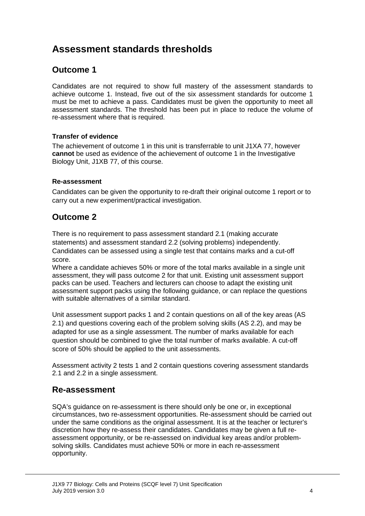## **Assessment standards thresholds**

## **Outcome 1**

Candidates are not required to show full mastery of the assessment standards to achieve outcome 1. Instead, five out of the six assessment standards for outcome 1 must be met to achieve a pass. Candidates must be given the opportunity to meet all assessment standards. The threshold has been put in place to reduce the volume of re-assessment where that is required.

#### **Transfer of evidence**

The achievement of outcome 1 in this unit is transferrable to unit J1XA 77, however **cannot** be used as evidence of the achievement of outcome 1 in the Investigative Biology Unit, J1XB 77, of this course.

#### **Re-assessment**

Candidates can be given the opportunity to re-draft their original outcome 1 report or to carry out a new experiment/practical investigation.

### **Outcome 2**

There is no requirement to pass assessment standard 2.1 (making accurate statements) and assessment standard 2.2 (solving problems) independently. Candidates can be assessed using a single test that contains marks and a cut-off score.

Where a candidate achieves 50% or more of the total marks available in a single unit assessment, they will pass outcome 2 for that unit. Existing unit assessment support packs can be used. Teachers and lecturers can choose to adapt the existing unit assessment support packs using the following guidance, or can replace the questions with suitable alternatives of a similar standard.

Unit assessment support packs 1 and 2 contain questions on all of the key areas (AS 2.1) and questions covering each of the problem solving skills (AS 2.2), and may be adapted for use as a single assessment. The number of marks available for each question should be combined to give the total number of marks available. A cut-off score of 50% should be applied to the unit assessments.

Assessment activity 2 tests 1 and 2 contain questions covering assessment standards 2.1 and 2.2 in a single assessment.

### **Re-assessment**

SQA's guidance on re-assessment is there should only be one or, in exceptional circumstances, two re-assessment opportunities. Re-assessment should be carried out under the same conditions as the original assessment. It is at the teacher or lecturer's discretion how they re-assess their candidates. Candidates may be given a full reassessment opportunity, or be re-assessed on individual key areas and/or problemsolving skills. Candidates must achieve 50% or more in each re-assessment opportunity.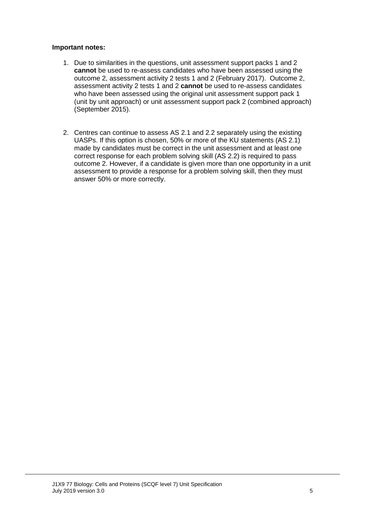#### **Important notes:**

- 1. Due to similarities in the questions, unit assessment support packs 1 and 2 **cannot** be used to re-assess candidates who have been assessed using the outcome 2, assessment activity 2 tests 1 and 2 (February 2017). Outcome 2, assessment activity 2 tests 1 and 2 **cannot** be used to re-assess candidates who have been assessed using the original unit assessment support pack 1 (unit by unit approach) or unit assessment support pack 2 (combined approach) (September 2015).
- 2. Centres can continue to assess AS 2.1 and 2.2 separately using the existing UASPs. If this option is chosen, 50% or more of the KU statements (AS 2.1) made by candidates must be correct in the unit assessment and at least one correct response for each problem solving skill (AS 2.2) is required to pass outcome 2. However, if a candidate is given more than one opportunity in a unit assessment to provide a response for a problem solving skill, then they must answer 50% or more correctly.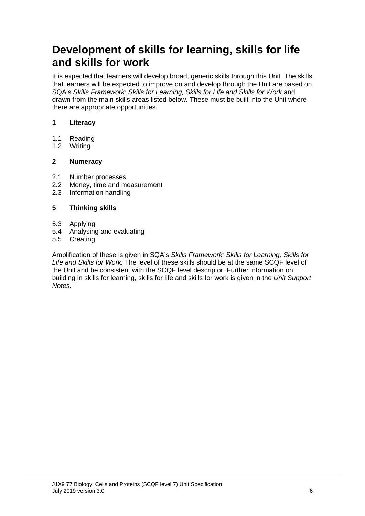# **Development of skills for learning, skills for life and skills for work**

It is expected that learners will develop broad, generic skills through this Unit. The skills that learners will be expected to improve on and develop through the Unit are based on SQA's *Skills Framework: Skills for Learning, Skills for Life and Skills for Work* and drawn from the main skills areas listed below. These must be built into the Unit where there are appropriate opportunities.

#### **1 Literacy**

- 1.1 Reading<br>1.2 Writing
- Writing

#### **2 Numeracy**

- 2.1 Number processes<br>2.2 Money, time and m
- 2.2 Money, time and measurement<br>2.3 Information handling
- Information handling

#### **5 Thinking skills**

- 5.3 Applying
- 5.4 Analysing and evaluating
- 5.5 Creating

Amplification of these is given in SQA's *Skills Framework: Skills for Learning, Skills for Life and Skills for Work.* The level of these skills should be at the same SCQF level of the Unit and be consistent with the SCQF level descriptor. Further information on building in skills for learning, skills for life and skills for work is given in the *Unit Support Notes.*